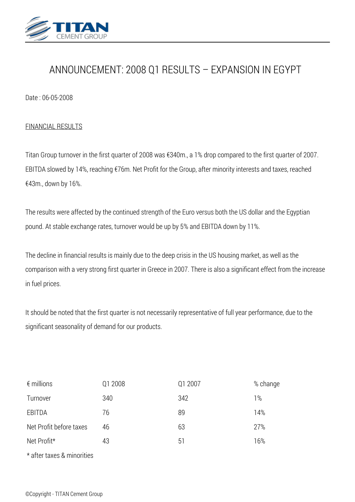

# *ANNOUNCEMENT: 2008 Q1 RESULTS – EXPANSION IN EGYPT*

*Date : 06-05-2008*

### *FINANCIAL RESULTS*

*Titan Group turnover in the first quarter of 2008 was €340m., a 1% drop compared to the first quarter of 2007. EBITDA slowed by 14%, reaching €76m. Net Profit for the Group, after minority interests and taxes, reached €43m., down by 16%.*

*The results were affected by the continued strength of the Euro versus both the US dollar and the Egyptian pound. At stable exchange rates, turnover would be up by 5% and EBITDA down by 11%.*

*The decline in financial results is mainly due to the deep crisis in the US housing market, as well as the comparison with a very strong first quarter in Greece in 2007. There is also a significant effect from the increase in fuel prices.*

*It should be noted that the first quarter is not necessarily representative of full year performance, due to the significant seasonality of demand for our products.*

| $\epsilon$ millions        | Q1 2008 | Q1 2007 | % change |
|----------------------------|---------|---------|----------|
| Turnover                   | 340     | 342     | $1\%$    |
| EBITDA                     | 76      | 89      | 14%      |
| Net Profit before taxes    | 46      | 63      | 27%      |
| Net Profit*                | 43      | 51      | 16%      |
| * after taxes & minorities |         |         |          |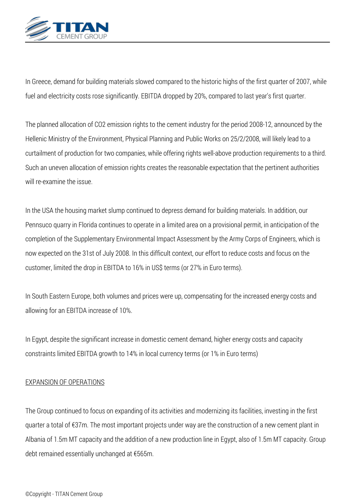

In Greece, demand for building materials slowed compared to the historic highs of the first quarter of 2007, while *fuel and electricity costs rose significantly. EBITDA dropped by 20%, compared to last year's first quarter.*

*The planned allocation of CO2 emission rights to the cement industry for the period 2008-12, announced by the Hellenic Ministry of the Environment, Physical Planning and Public Works on 25/2/2008, will likely lead to a curtailment of production for two companies, while offering rights well-above production requirements to a third. Such an uneven allocation of emission rights creates the reasonable expectation that the pertinent authorities will re-examine the issue.*

*In the USA the housing market slump continued to depress demand for building materials. In addition, our Pennsuco quarry in Florida continues to operate in a limited area on a provisional permit, in anticipation of the completion of the Supplementary Environmental Impact Assessment by the Army Corps of Engineers, which is now expected on the 31st of July 2008. In this difficult context, our effort to reduce costs and focus on the customer, limited the drop in EBITDA to 16% in US\$ terms (or 27% in Euro terms).*

*In South Eastern Europe, both volumes and prices were up, compensating for the increased energy costs and allowing for an EBITDA increase of 10%.*

*In Egypt, despite the significant increase in domestic cement demand, higher energy costs and capacity constraints limited EBITDA growth to 14% in local currency terms (or 1% in Euro terms)*

## *EXPANSION OF OPERATIONS*

*The Group continued to focus on expanding of its activities and modernizing its facilities, investing in the first quarter a total of €37m. The most important projects under way are the construction of a new cement plant in Albania of 1.5m MT capacity and the addition of a new production line in Egypt, also of 1.5m MT capacity. Group debt remained essentially unchanged at €565m.*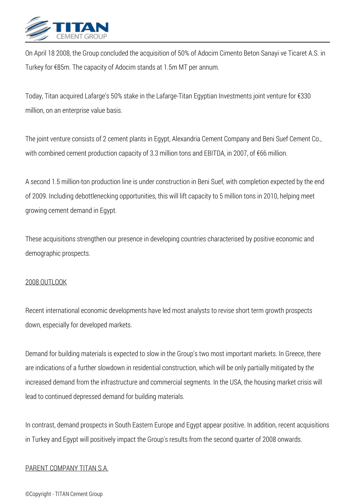

*On April 18 2008, the Group concluded the acquisition of 50% of Adocim Cimento Beton Sanayi ve Ticaret A.S. in Turkey for €85m. The capacity of Adocim stands at 1.5m MT per annum.*

*Today, Titan acquired Lafarge's 50% stake in the Lafarge-Titan Egyptian Investments joint venture for €330 million, on an enterprise value basis.*

*The joint venture consists of 2 cement plants in Egypt, Alexandria Cement Company and Beni Suef Cement Co., with combined cement production capacity of 3.3 million tons and EBITDA, in 2007, of €66 million.*

*A second 1.5 million-ton production line is under construction in Beni Suef, with completion expected by the end of 2009. Including debottlenecking opportunities, this will lift capacity to 5 million tons in 2010, helping meet growing cement demand in Egypt.*

*These acquisitions strengthen our presence in developing countries characterised by positive economic and demographic prospects.*

#### *2008 OUTLOOK*

*Recent international economic developments have led most analysts to revise short term growth prospects down, especially for developed markets.*

*Demand for building materials is expected to slow in the Group's two most important markets. In Greece, there are indications of a further slowdown in residential construction, which will be only partially mitigated by the increased demand from the infrastructure and commercial segments. In the USA, the housing market crisis will lead to continued depressed demand for building materials.*

*In contrast, demand prospects in South Eastern Europe and Egypt appear positive. In addition, recent acquisitions in Turkey and Egypt will positively impact the Group's results from the second quarter of 2008 onwards.*

#### *PARENT COMPANY TITAN S.A.*

#### *©Copyright - TITAN Cement Group*